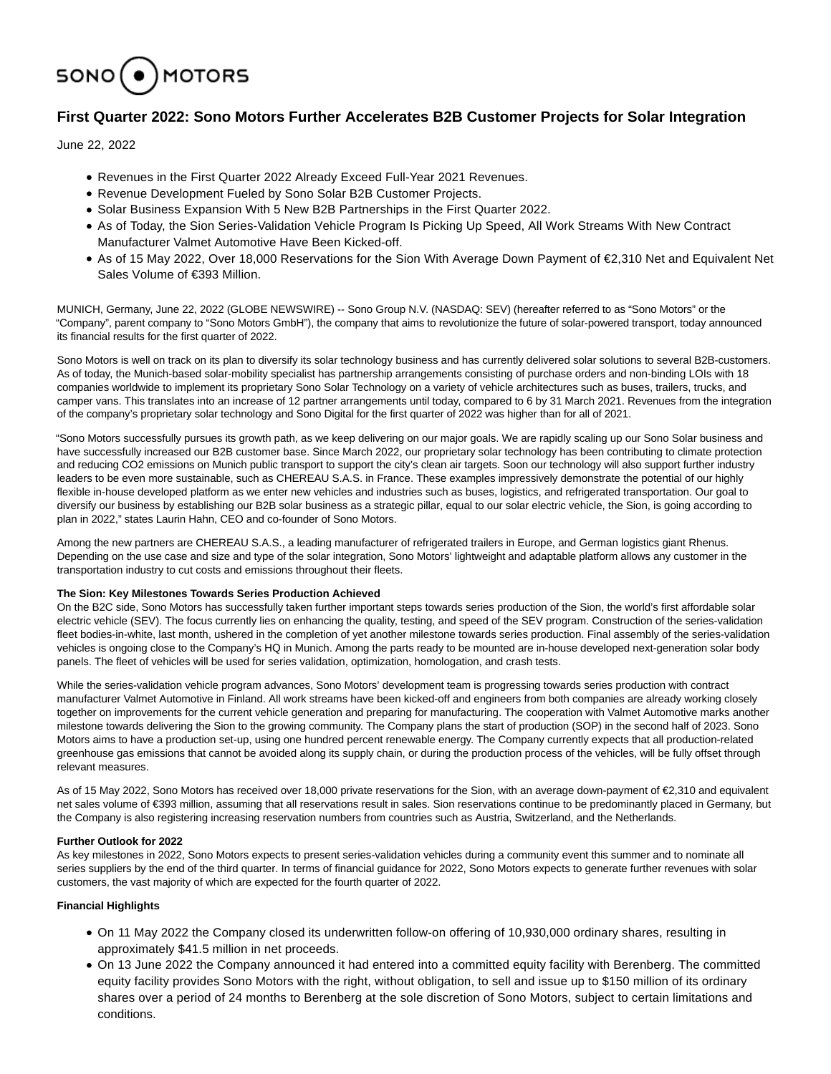# $SONO($   $\bullet$  ) MOTORS

## **First Quarter 2022: Sono Motors Further Accelerates B2B Customer Projects for Solar Integration**

June 22, 2022

- Revenues in the First Quarter 2022 Already Exceed Full-Year 2021 Revenues.
- Revenue Development Fueled by Sono Solar B2B Customer Projects.
- Solar Business Expansion With 5 New B2B Partnerships in the First Quarter 2022.
- As of Today, the Sion Series-Validation Vehicle Program Is Picking Up Speed, All Work Streams With New Contract Manufacturer Valmet Automotive Have Been Kicked-off.
- As of 15 May 2022, Over 18,000 Reservations for the Sion With Average Down Payment of €2,310 Net and Equivalent Net Sales Volume of €393 Million.

MUNICH, Germany, June 22, 2022 (GLOBE NEWSWIRE) -- Sono Group N.V. (NASDAQ: SEV) (hereafter referred to as "Sono Motors" or the "Company", parent company to "Sono Motors GmbH"), the company that aims to revolutionize the future of solar-powered transport, today announced its financial results for the first quarter of 2022.

Sono Motors is well on track on its plan to diversify its solar technology business and has currently delivered solar solutions to several B2B-customers. As of today, the Munich-based solar-mobility specialist has partnership arrangements consisting of purchase orders and non-binding LOIs with 18 companies worldwide to implement its proprietary Sono Solar Technology on a variety of vehicle architectures such as buses, trailers, trucks, and camper vans. This translates into an increase of 12 partner arrangements until today, compared to 6 by 31 March 2021. Revenues from the integration of the company's proprietary solar technology and Sono Digital for the first quarter of 2022 was higher than for all of 2021.

"Sono Motors successfully pursues its growth path, as we keep delivering on our major goals. We are rapidly scaling up our Sono Solar business and have successfully increased our B2B customer base. Since March 2022, our proprietary solar technology has been contributing to climate protection and reducing CO2 emissions on Munich public transport to support the city's clean air targets. Soon our technology will also support further industry leaders to be even more sustainable, such as CHEREAU S.A.S. in France. These examples impressively demonstrate the potential of our highly flexible in-house developed platform as we enter new vehicles and industries such as buses, logistics, and refrigerated transportation. Our goal to diversify our business by establishing our B2B solar business as a strategic pillar, equal to our solar electric vehicle, the Sion, is going according to plan in 2022," states Laurin Hahn, CEO and co-founder of Sono Motors.

Among the new partners are CHEREAU S.A.S., a leading manufacturer of refrigerated trailers in Europe, and German logistics giant Rhenus. Depending on the use case and size and type of the solar integration, Sono Motors' lightweight and adaptable platform allows any customer in the transportation industry to cut costs and emissions throughout their fleets.

#### **The Sion: Key Milestones Towards Series Production Achieved**

On the B2C side, Sono Motors has successfully taken further important steps towards series production of the Sion, the world's first affordable solar electric vehicle (SEV). The focus currently lies on enhancing the quality, testing, and speed of the SEV program. Construction of the series-validation fleet bodies-in-white, last month, ushered in the completion of yet another milestone towards series production. Final assembly of the series-validation vehicles is ongoing close to the Company's HQ in Munich. Among the parts ready to be mounted are in-house developed next-generation solar body panels. The fleet of vehicles will be used for series validation, optimization, homologation, and crash tests.

While the series-validation vehicle program advances, Sono Motors' development team is progressing towards series production with contract manufacturer Valmet Automotive in Finland. All work streams have been kicked-off and engineers from both companies are already working closely together on improvements for the current vehicle generation and preparing for manufacturing. The cooperation with Valmet Automotive marks another milestone towards delivering the Sion to the growing community. The Company plans the start of production (SOP) in the second half of 2023. Sono Motors aims to have a production set-up, using one hundred percent renewable energy. The Company currently expects that all production-related greenhouse gas emissions that cannot be avoided along its supply chain, or during the production process of the vehicles, will be fully offset through relevant measures.

As of 15 May 2022, Sono Motors has received over 18,000 private reservations for the Sion, with an average down-payment of €2,310 and equivalent net sales volume of €393 million, assuming that all reservations result in sales. Sion reservations continue to be predominantly placed in Germany, but the Company is also registering increasing reservation numbers from countries such as Austria, Switzerland, and the Netherlands.

#### **Further Outlook for 2022**

As key milestones in 2022, Sono Motors expects to present series-validation vehicles during a community event this summer and to nominate all series suppliers by the end of the third quarter. In terms of financial guidance for 2022, Sono Motors expects to generate further revenues with solar customers, the vast majority of which are expected for the fourth quarter of 2022.

#### **Financial Highlights**

- On 11 May 2022 the Company closed its underwritten follow-on offering of 10,930,000 ordinary shares, resulting in approximately \$41.5 million in net proceeds.
- On 13 June 2022 the Company announced it had entered into a committed equity facility with Berenberg. The committed equity facility provides Sono Motors with the right, without obligation, to sell and issue up to \$150 million of its ordinary shares over a period of 24 months to Berenberg at the sole discretion of Sono Motors, subject to certain limitations and conditions.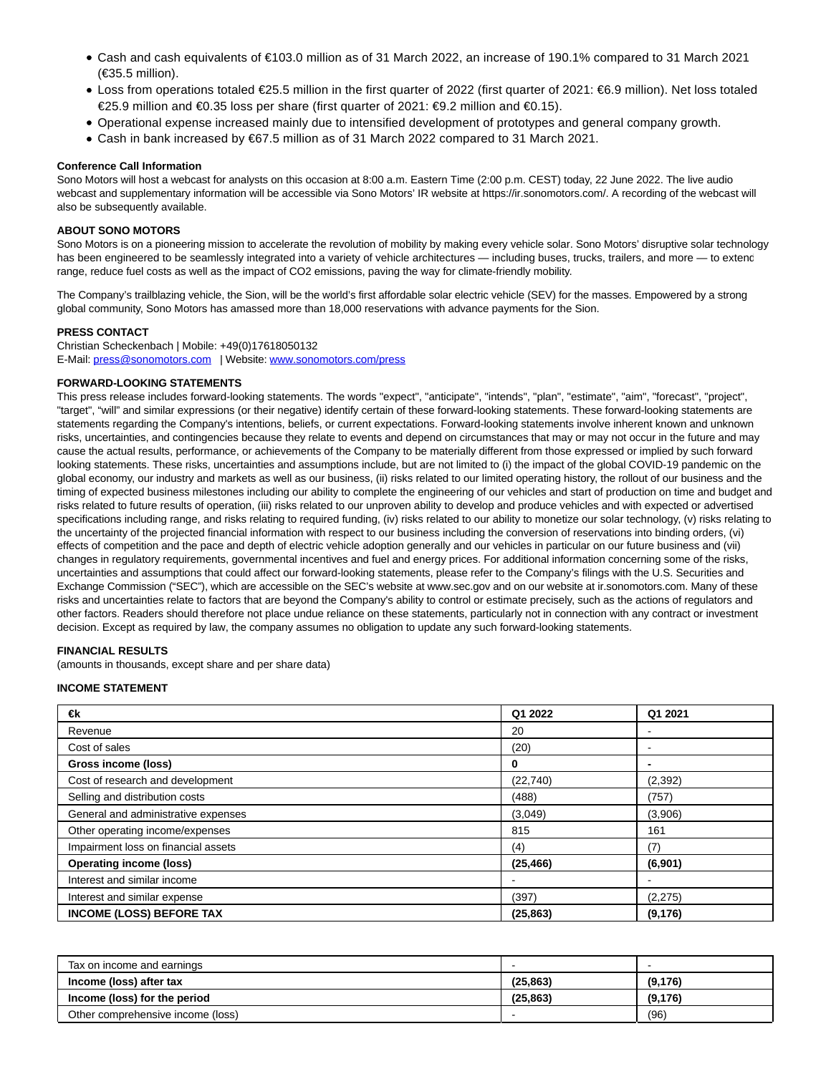- Cash and cash equivalents of €103.0 million as of 31 March 2022, an increase of 190.1% compared to 31 March 2021 (€35.5 million).
- Loss from operations totaled €25.5 million in the first quarter of 2022 (first quarter of 2021: €6.9 million). Net loss totaled €25.9 million and €0.35 loss per share (first quarter of 2021: €9.2 million and €0.15).
- Operational expense increased mainly due to intensified development of prototypes and general company growth.
- Cash in bank increased by €67.5 million as of 31 March 2022 compared to 31 March 2021.

#### **Conference Call Information**

Sono Motors will host a webcast for analysts on this occasion at 8:00 a.m. Eastern Time (2:00 p.m. CEST) today, 22 June 2022. The live audio webcast and supplementary information will be accessible via Sono Motors' IR website at https://ir.sonomotors.com/. A recording of the webcast will also be subsequently available.

#### **ABOUT SONO MOTORS**

Sono Motors is on a pioneering mission to accelerate the revolution of mobility by making every vehicle solar. Sono Motors' disruptive solar technology has been engineered to be seamlessly integrated into a variety of vehicle architectures — including buses, trucks, trailers, and more — to extend range, reduce fuel costs as well as the impact of CO2 emissions, paving the way for climate-friendly mobility.

The Company's trailblazing vehicle, the Sion, will be the world's first affordable solar electric vehicle (SEV) for the masses. Empowered by a strong global community, Sono Motors has amassed more than 18,000 reservations with advance payments for the Sion.

#### **PRESS CONTACT**

Christian Scheckenbach | Mobile: +49(0)17618050132 E-Mail: [press@sonomotors.com](https://www.globenewswire.com/Tracker?data=-K_PVYANntRura9LDx1F12_xgvynghV1FCBtotAE_mdKfwbzSZRyorO0zELLzh5tE73dhNK8KsuWu29Jj3B1CvOt3gx0MBjmSNz33TROej0=) | Website: [www.sonomotors.com/press](https://www.globenewswire.com/Tracker?data=68gtl0vHUIbYJBLpRIWTAvVRMsujuARgE2kMBMn9ZW20yakNnTjQgq5AA29RRlI1R_CLoSz7L09CSiN8UwySCfHlXcWeG2DozV3c4Uf-eio=)

#### **FORWARD-LOOKING STATEMENTS**

This press release includes forward-looking statements. The words "expect", "anticipate", "intends", "plan", "estimate", "aim", "forecast", "project", "target", "will" and similar expressions (or their negative) identify certain of these forward-looking statements. These forward-looking statements are statements regarding the Company's intentions, beliefs, or current expectations. Forward-looking statements involve inherent known and unknown risks, uncertainties, and contingencies because they relate to events and depend on circumstances that may or may not occur in the future and may cause the actual results, performance, or achievements of the Company to be materially different from those expressed or implied by such forward looking statements. These risks, uncertainties and assumptions include, but are not limited to (i) the impact of the global COVID-19 pandemic on the global economy, our industry and markets as well as our business, (ii) risks related to our limited operating history, the rollout of our business and the timing of expected business milestones including our ability to complete the engineering of our vehicles and start of production on time and budget and risks related to future results of operation, (iii) risks related to our unproven ability to develop and produce vehicles and with expected or advertised specifications including range, and risks relating to required funding, (iv) risks related to our ability to monetize our solar technology, (v) risks relating to the uncertainty of the projected financial information with respect to our business including the conversion of reservations into binding orders, (vi) effects of competition and the pace and depth of electric vehicle adoption generally and our vehicles in particular on our future business and (vii) changes in regulatory requirements, governmental incentives and fuel and energy prices. For additional information concerning some of the risks, uncertainties and assumptions that could affect our forward-looking statements, please refer to the Company's filings with the U.S. Securities and Exchange Commission ("SEC"), which are accessible on the SEC's website at www.sec.gov and on our website at ir.sonomotors.com. Many of these risks and uncertainties relate to factors that are beyond the Company's ability to control or estimate precisely, such as the actions of regulators and other factors. Readers should therefore not place undue reliance on these statements, particularly not in connection with any contract or investment decision. Except as required by law, the company assumes no obligation to update any such forward-looking statements.

#### **FINANCIAL RESULTS**

(amounts in thousands, except share and per share data)

### **INCOME STATEMENT**

| €k                                  | Q1 2022   | Q1 2021  |
|-------------------------------------|-----------|----------|
| Revenue                             | 20        |          |
| Cost of sales                       | (20)      |          |
| Gross income (loss)                 | 0         |          |
| Cost of research and development    | (22, 740) | (2, 392) |
| Selling and distribution costs      | (488)     | (757)    |
| General and administrative expenses | (3,049)   | (3,906)  |
| Other operating income/expenses     | 815       | 161      |
| Impairment loss on financial assets | (4)       | (7)      |
| <b>Operating income (loss)</b>      | (25, 466) | (6,901)  |
| Interest and similar income         |           |          |
| Interest and similar expense        | (397)     | (2, 275) |
| <b>INCOME (LOSS) BEFORE TAX</b>     | (25, 863) | (9, 176) |

| Tax on income and earnings        |           |          |
|-----------------------------------|-----------|----------|
| Income (loss) after tax           | (25, 863) | (9, 176) |
| Income (loss) for the period      | (25.863)  | (9, 176) |
| Other comprehensive income (loss) |           | (96)     |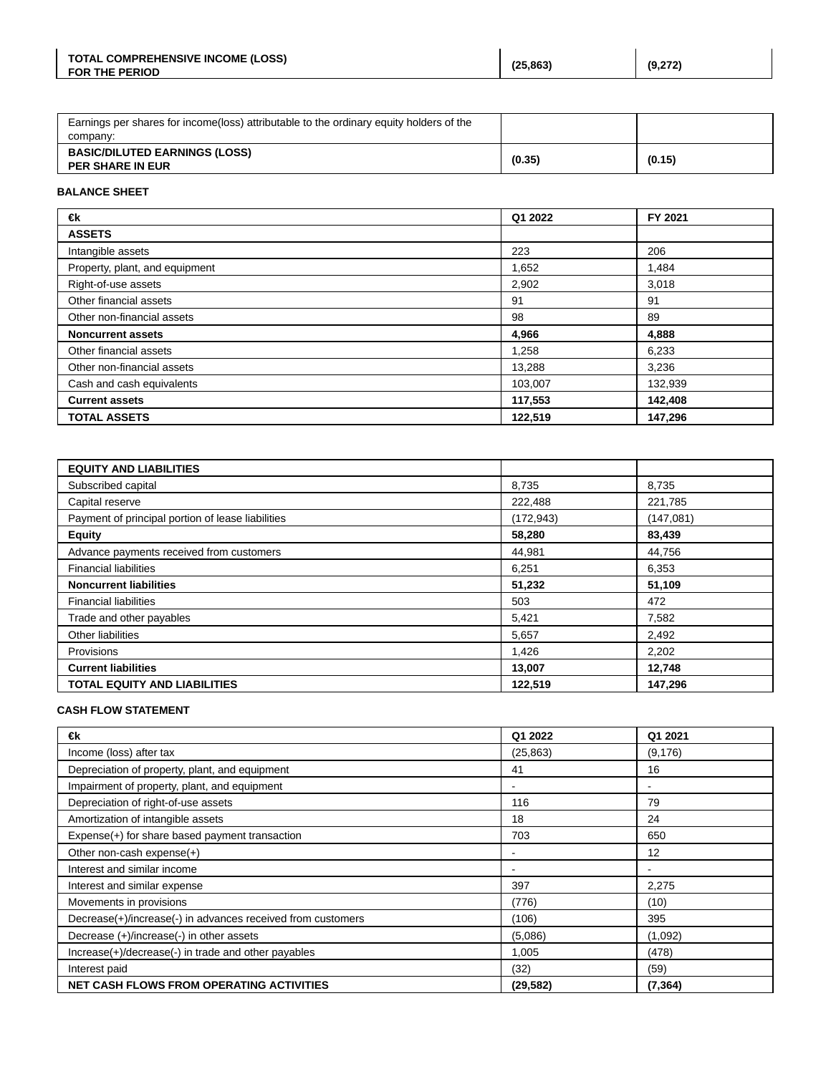| Earnings per shares for income(loss) attributable to the ordinary equity holders of the<br>company: |        |        |
|-----------------------------------------------------------------------------------------------------|--------|--------|
| <b>BASIC/DILUTED EARNINGS (LOSS)</b><br><b>PER SHARE IN EUR</b>                                     | (0.35) | (0.15) |

## **BALANCE SHEET**

| €k                             | Q1 2022 | FY 2021 |
|--------------------------------|---------|---------|
| <b>ASSETS</b>                  |         |         |
| Intangible assets              | 223     | 206     |
| Property, plant, and equipment | 1,652   | 1,484   |
| Right-of-use assets            | 2,902   | 3,018   |
| Other financial assets         | 91      | 91      |
| Other non-financial assets     | 98      | 89      |
| <b>Noncurrent assets</b>       | 4,966   | 4,888   |
| Other financial assets         | 1,258   | 6,233   |
| Other non-financial assets     | 13,288  | 3,236   |
| Cash and cash equivalents      | 103,007 | 132,939 |
| <b>Current assets</b>          | 117,553 | 142,408 |
| <b>TOTAL ASSETS</b>            | 122,519 | 147,296 |

| <b>EQUITY AND LIABILITIES</b>                     |            |           |
|---------------------------------------------------|------------|-----------|
| Subscribed capital                                | 8,735      | 8,735     |
| Capital reserve                                   | 222,488    | 221,785   |
| Payment of principal portion of lease liabilities | (172, 943) | (147,081) |
| <b>Equity</b>                                     | 58,280     | 83,439    |
| Advance payments received from customers          | 44,981     | 44,756    |
| <b>Financial liabilities</b>                      | 6,251      | 6,353     |
| <b>Noncurrent liabilities</b>                     | 51,232     | 51,109    |
| <b>Financial liabilities</b>                      | 503        | 472       |
| Trade and other payables                          | 5,421      | 7,582     |
| Other liabilities                                 | 5,657      | 2,492     |
| Provisions                                        | 1,426      | 2,202     |
| <b>Current liabilities</b>                        | 13,007     | 12,748    |
| <b>TOTAL EQUITY AND LIABILITIES</b>               | 122,519    | 147,296   |

## **CASH FLOW STATEMENT**

| €k                                                          | Q1 2022   | Q1 2021  |
|-------------------------------------------------------------|-----------|----------|
| Income (loss) after tax                                     | (25, 863) | (9, 176) |
| Depreciation of property, plant, and equipment              | 41        | 16       |
| Impairment of property, plant, and equipment                | ٠         |          |
| Depreciation of right-of-use assets                         | 116       | 79       |
| Amortization of intangible assets                           | 18        | 24       |
| Expense(+) for share based payment transaction              | 703       | 650      |
| Other non-cash expense $(+)$                                |           | 12       |
| Interest and similar income                                 |           |          |
| Interest and similar expense                                | 397       | 2,275    |
| Movements in provisions                                     | (776)     | (10)     |
| Decrease(+)/increase(-) in advances received from customers | (106)     | 395      |
| Decrease (+)/increase(-) in other assets                    | (5,086)   | (1,092)  |
| $Increase(+) / decrease(-)$ in trade and other payables     | 1,005     | (478)    |
| Interest paid                                               | (32)      | (59)     |
| <b>NET CASH FLOWS FROM OPERATING ACTIVITIES</b>             | (29, 582) | (7, 364) |